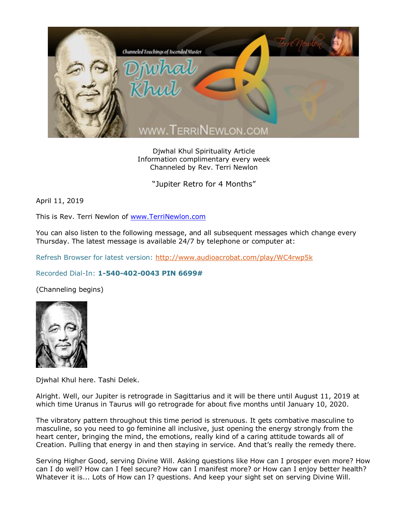

Djwhal Khul Spirituality Article Information complimentary every week Channeled by Rev. Terri Newlon

"Jupiter Retro for 4 Months"

April 11, 2019

This is Rev. Terri Newlon of [www.TerriNewlon.com](http://www.terrinewlon.com/)

You can also listen to the following message, and all subsequent messages which change every Thursday. The latest message is available 24/7 by telephone or computer at:

Refresh Browser for latest version:<http://www.audioacrobat.com/play/WC4rwp5k>

## Recorded Dial-In: **1-540-402-0043 PIN 6699#**

(Channeling begins)



Djwhal Khul here. Tashi Delek.

Alright. Well, our Jupiter is retrograde in Sagittarius and it will be there until August 11, 2019 at which time Uranus in Taurus will go retrograde for about five months until January 10, 2020.

The vibratory pattern throughout this time period is strenuous. It gets combative masculine to masculine, so you need to go feminine all inclusive, just opening the energy strongly from the heart center, bringing the mind, the emotions, really kind of a caring attitude towards all of Creation. Pulling that energy in and then staying in service. And that's really the remedy there.

Serving Higher Good, serving Divine Will. Asking questions like How can I prosper even more? How can I do well? How can I feel secure? How can I manifest more? or How can I enjoy better health? Whatever it is... Lots of How can I? questions. And keep your sight set on serving Divine Will.